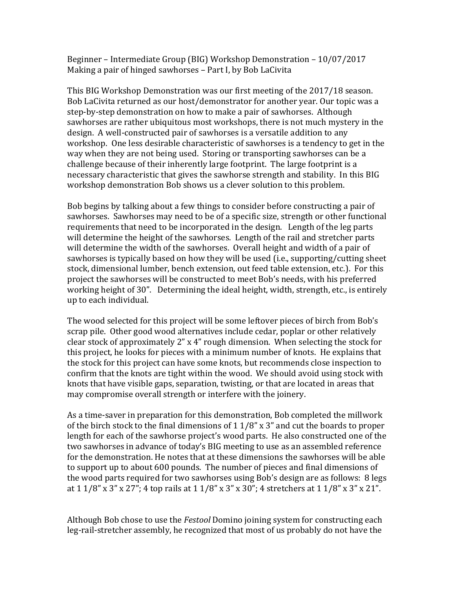Beginner – Intermediate Group (BIG) Workshop Demonstration – 10/07/2017 Making a pair of hinged sawhorses - Part I, by Bob LaCivita

This BIG Workshop Demonstration was our first meeting of the 2017/18 season. Bob LaCivita returned as our host/demonstrator for another year. Our topic was a step-by-step demonstration on how to make a pair of sawhorses. Although sawhorses are rather ubiquitous most workshops, there is not much mystery in the design. A well-constructed pair of sawhorses is a versatile addition to any workshop. One less desirable characteristic of sawhorses is a tendency to get in the way when they are not being used. Storing or transporting sawhorses can be a challenge because of their inherently large footprint. The large footprint is a necessary characteristic that gives the sawhorse strength and stability. In this BIG workshop demonstration Bob shows us a clever solution to this problem.

Bob begins by talking about a few things to consider before constructing a pair of sawhorses. Sawhorses may need to be of a specific size, strength or other functional requirements that need to be incorporated in the design. Length of the leg parts will determine the height of the sawhorses. Length of the rail and stretcher parts will determine the width of the sawhorses. Overall height and width of a pair of sawhorses is typically based on how they will be used (i.e., supporting/cutting sheet stock, dimensional lumber, bench extension, out feed table extension, etc.). For this project the sawhorses will be constructed to meet Bob's needs, with his preferred working height of 30". Determining the ideal height, width, strength, etc., is entirely up to each individual.

The wood selected for this project will be some leftover pieces of birch from Bob's scrap pile. Other good wood alternatives include cedar, poplar or other relatively clear stock of approximately  $2$ " x 4" rough dimension. When selecting the stock for this project, he looks for pieces with a minimum number of knots. He explains that the stock for this project can have some knots, but recommends close inspection to confirm that the knots are tight within the wood. We should avoid using stock with knots that have visible gaps, separation, twisting, or that are located in areas that may compromise overall strength or interfere with the joinery.

As a time-saver in preparation for this demonstration, Bob completed the millwork of the birch stock to the final dimensions of  $1\frac{1}{8}$ " x 3" and cut the boards to proper length for each of the sawhorse project's wood parts. He also constructed one of the two sawhorses in advance of today's BIG meeting to use as an assembled reference for the demonstration. He notes that at these dimensions the sawhorses will be able to support up to about 600 pounds. The number of pieces and final dimensions of the wood parts required for two sawhorses using Bob's design are as follows: 8 legs at  $1\frac{1}{8}$  x 3" x 27"; 4 top rails at  $1\frac{1}{8}$  x 3" x 30"; 4 stretchers at  $1\frac{1}{8}$  x 3" x 21".

Although Bob chose to use the *Festool* Domino joining system for constructing each leg-rail-stretcher assembly, he recognized that most of us probably do not have the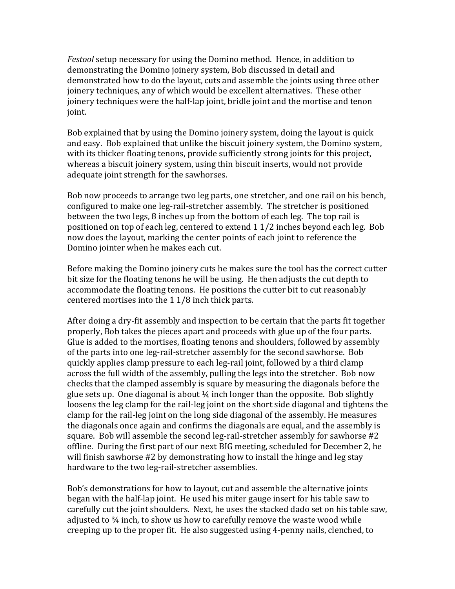*Festool* setup necessary for using the Domino method. Hence, in addition to demonstrating the Domino joinery system, Bob discussed in detail and demonstrated how to do the layout, cuts and assemble the joints using three other joinery techniques, any of which would be excellent alternatives. These other joinery techniques were the half-lap joint, bridle joint and the mortise and tenon joint. 

Bob explained that by using the Domino joinery system, doing the layout is quick and easy. Bob explained that unlike the biscuit joinery system, the Domino system, with its thicker floating tenons, provide sufficiently strong joints for this project, whereas a biscuit joinery system, using thin biscuit inserts, would not provide adequate joint strength for the sawhorses.

Bob now proceeds to arrange two leg parts, one stretcher, and one rail on his bench, configured to make one leg-rail-stretcher assembly. The stretcher is positioned between the two legs, 8 inches up from the bottom of each leg. The top rail is positioned on top of each leg, centered to extend  $1\frac{1}{2}$  inches beyond each leg. Bob now does the layout, marking the center points of each joint to reference the Domino jointer when he makes each cut.

Before making the Domino joinery cuts he makes sure the tool has the correct cutter bit size for the floating tenons he will be using. He then adjusts the cut depth to accommodate the floating tenons. He positions the cutter bit to cut reasonably centered mortises into the 1 1/8 inch thick parts.

After doing a dry-fit assembly and inspection to be certain that the parts fit together properly, Bob takes the pieces apart and proceeds with glue up of the four parts. Glue is added to the mortises, floating tenons and shoulders, followed by assembly of the parts into one leg-rail-stretcher assembly for the second sawhorse. Bob quickly applies clamp pressure to each leg-rail joint, followed by a third clamp across the full width of the assembly, pulling the legs into the stretcher. Bob now checks that the clamped assembly is square by measuring the diagonals before the glue sets up. One diagonal is about  $\frac{1}{4}$  inch longer than the opposite. Bob slightly loosens the leg clamp for the rail-leg joint on the short side diagonal and tightens the clamp for the rail-leg joint on the long side diagonal of the assembly. He measures the diagonals once again and confirms the diagonals are equal, and the assembly is square. Bob will assemble the second leg-rail-stretcher assembly for sawhorse #2 offline. During the first part of our next BIG meeting, scheduled for December 2, he will finish sawhorse #2 by demonstrating how to install the hinge and leg stay hardware to the two leg-rail-stretcher assemblies.

Bob's demonstrations for how to layout, cut and assemble the alternative joints began with the half-lap joint. He used his miter gauge insert for his table saw to carefully cut the joint shoulders. Next, he uses the stacked dado set on his table saw, adjusted to  $\frac{3}{4}$  inch, to show us how to carefully remove the waste wood while creeping up to the proper fit. He also suggested using 4-penny nails, clenched, to